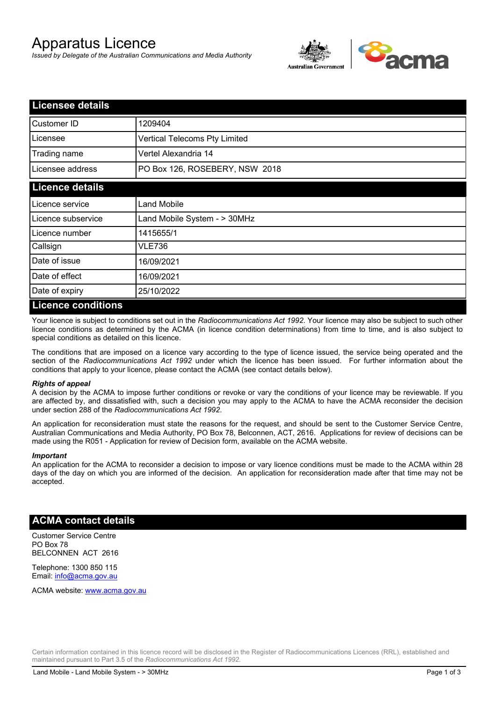# Apparatus Licence

*Issued by Delegate of the Australian Communications and Media Authority*



| <b>Licensee details</b> |                                |
|-------------------------|--------------------------------|
| Customer ID             | 1209404                        |
| Licensee                | Vertical Telecoms Pty Limited  |
| Trading name            | Vertel Alexandria 14           |
| Licensee address        | PO Box 126, ROSEBERY, NSW 2018 |
| <b>Licence details</b>  |                                |
| Licence service         | <b>Land Mobile</b>             |
| Licence subservice      | Land Mobile System - > 30MHz   |
| Licence number          | 1415655/1                      |
| Callsign                | <b>VLE736</b>                  |
| Date of issue           | 16/09/2021                     |
| Date of effect          | 16/09/2021                     |
| Date of expiry          | 25/10/2022                     |
| Licance conditions      |                                |

### **Licence conditions**

Your licence is subject to conditions set out in the *Radiocommunications Act 1992*. Your licence may also be subject to such other licence conditions as determined by the ACMA (in licence condition determinations) from time to time, and is also subject to special conditions as detailed on this licence.

The conditions that are imposed on a licence vary according to the type of licence issued, the service being operated and the section of the *Radiocommunications Act 1992* under which the licence has been issued. For further information about the conditions that apply to your licence, please contact the ACMA (see contact details below).

### *Rights of appeal*

A decision by the ACMA to impose further conditions or revoke or vary the conditions of your licence may be reviewable. If you are affected by, and dissatisfied with, such a decision you may apply to the ACMA to have the ACMA reconsider the decision under section 288 of the *Radiocommunications Act 1992*.

An application for reconsideration must state the reasons for the request, and should be sent to the Customer Service Centre, Australian Communications and Media Authority, PO Box 78, Belconnen, ACT, 2616. Applications for review of decisions can be made using the R051 - Application for review of Decision form, available on the ACMA website.

#### *Important*

An application for the ACMA to reconsider a decision to impose or vary licence conditions must be made to the ACMA within 28 days of the day on which you are informed of the decision. An application for reconsideration made after that time may not be accepted.

### **ACMA contact details**

Customer Service Centre PO Box 78 BELCONNEN ACT 2616

Telephone: 1300 850 115 Email: info@acma.gov.au

ACMA website: www.acma.gov.au

Certain information contained in this licence record will be disclosed in the Register of Radiocommunications Licences (RRL), established and maintained pursuant to Part 3.5 of the *Radiocommunications Act 1992.*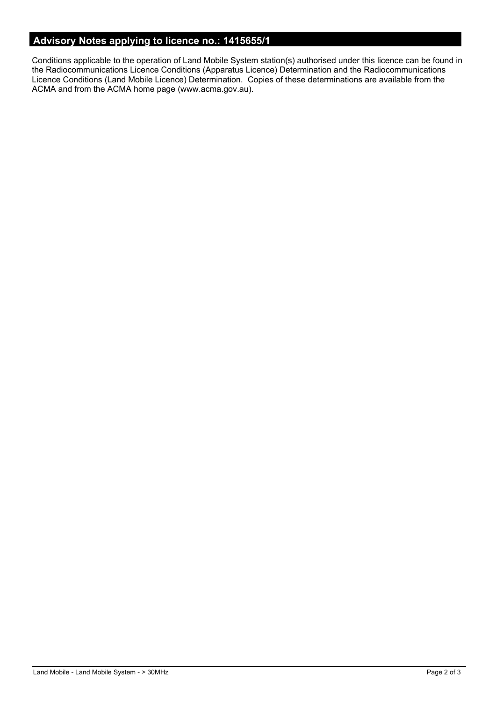# **Advisory Notes applying to licence no.: 1415655/1**

Conditions applicable to the operation of Land Mobile System station(s) authorised under this licence can be found in the Radiocommunications Licence Conditions (Apparatus Licence) Determination and the Radiocommunications Licence Conditions (Land Mobile Licence) Determination. Copies of these determinations are available from the ACMA and from the ACMA home page (www.acma.gov.au).